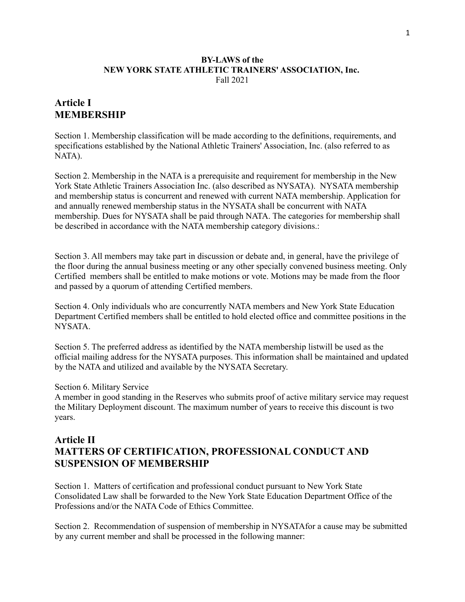#### **BY-LAWS of the NEW YORK STATE ATHLETIC TRAINERS' ASSOCIATION, Inc.** Fall 2021

# **Article I MEMBERSHIP**

Section 1. Membership classification will be made according to the definitions, requirements, and specifications established by the National Athletic Trainers' Association, Inc. (also referred to as NATA).

Section 2. Membership in the NATA is a prerequisite and requirement for membership in the New York State Athletic Trainers Association Inc. (also described as NYSATA). NYSATA membership and membership status is concurrent and renewed with current NATA membership. Application for and annually renewed membership status in the NYSATA shall be concurrent with NATA membership. Dues for NYSATA shall be paid through NATA. The categories for membership shall be described in accordance with the NATA membership category divisions.:

Section 3. All members may take part in discussion or debate and, in general, have the privilege of the floor during the annual business meeting or any other specially convened business meeting. Only Certified members shall be entitled to make motions or vote. Motions may be made from the floor and passed by a quorum of attending Certified members.

Section 4. Only individuals who are concurrently NATA members and New York State Education Department Certified members shall be entitled to hold elected office and committee positions in the NYSATA.

Section 5. The preferred address as identified by the NATA membership listwill be used as the official mailing address for the NYSATA purposes. This information shall be maintained and updated by the NATA and utilized and available by the NYSATA Secretary.

#### Section 6. Military Service

A member in good standing in the Reserves who submits proof of active military service may request the Military Deployment discount. The maximum number of years to receive this discount is two years.

# **Article II MATTERS OF CERTIFICATION, PROFESSIONAL CONDUCT AND SUSPENSION OF MEMBERSHIP**

Section 1. Matters of certification and professional conduct pursuant to New York State Consolidated Law shall be forwarded to the New York State Education Department Office of the Professions and/or the NATA Code of Ethics Committee.

Section 2. Recommendation of suspension of membership in NYSATAfor a cause may be submitted by any current member and shall be processed in the following manner: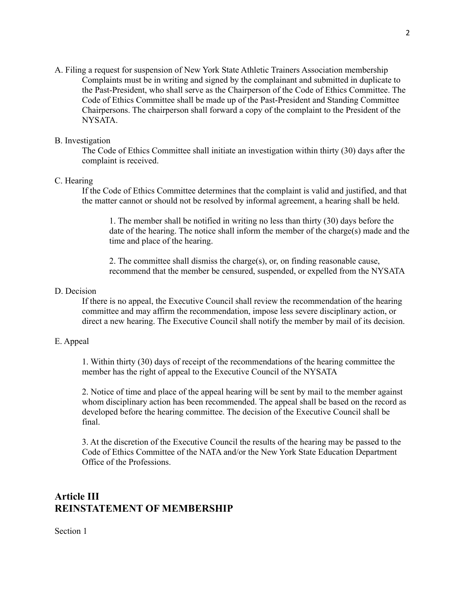A. Filing a request for suspension of New York State Athletic Trainers Association membership Complaints must be in writing and signed by the complainant and submitted in duplicate to the Past-President, who shall serve as the Chairperson of the Code of Ethics Committee. The Code of Ethics Committee shall be made up of the Past-President and Standing Committee Chairpersons. The chairperson shall forward a copy of the complaint to the President of the NYSATA.

## B. Investigation

The Code of Ethics Committee shall initiate an investigation within thirty (30) days after the complaint is received.

### C. Hearing

If the Code of Ethics Committee determines that the complaint is valid and justified, and that the matter cannot or should not be resolved by informal agreement, a hearing shall be held.

1. The member shall be notified in writing no less than thirty (30) days before the date of the hearing. The notice shall inform the member of the charge(s) made and the time and place of the hearing.

2. The committee shall dismiss the charge(s), or, on finding reasonable cause, recommend that the member be censured, suspended, or expelled from the NYSATA

### D. Decision

If there is no appeal, the Executive Council shall review the recommendation of the hearing committee and may affirm the recommendation, impose less severe disciplinary action, or direct a new hearing. The Executive Council shall notify the member by mail of its decision.

#### E. Appeal

1. Within thirty (30) days of receipt of the recommendations of the hearing committee the member has the right of appeal to the Executive Council of the NYSATA

2. Notice of time and place of the appeal hearing will be sent by mail to the member against whom disciplinary action has been recommended. The appeal shall be based on the record as developed before the hearing committee. The decision of the Executive Council shall be final.

3. At the discretion of the Executive Council the results of the hearing may be passed to the Code of Ethics Committee of the NATA and/or the New York State Education Department Office of the Professions.

# **Article III REINSTATEMENT OF MEMBERSHIP**

Section 1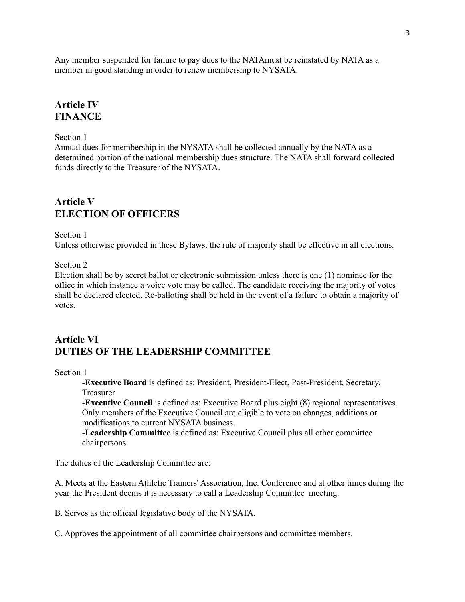Any member suspended for failure to pay dues to the NATAmust be reinstated by NATA as a member in good standing in order to renew membership to NYSATA.

# **Article IV FINANCE**

#### Section 1

Annual dues for membership in the NYSATA shall be collected annually by the NATA as a determined portion of the national membership dues structure. The NATA shall forward collected funds directly to the Treasurer of the NYSATA.

# **Article V ELECTION OF OFFICERS**

#### Section 1

Unless otherwise provided in these Bylaws, the rule of majority shall be effective in all elections.

#### Section 2

Election shall be by secret ballot or electronic submission unless there is one (1) nominee for the office in which instance a voice vote may be called. The candidate receiving the majority of votes shall be declared elected. Re-balloting shall be held in the event of a failure to obtain a majority of votes.

# **Article VI DUTIES OF THE LEADERSHIP COMMITTEE**

#### Section 1

-**Executive Board** is defined as: President, President-Elect, Past-President, Secretary, Treasurer

-**Executive Council** is defined as: Executive Board plus eight (8) regional representatives. Only members of the Executive Council are eligible to vote on changes, additions or modifications to current NYSATA business.

-**Leadership Committee** is defined as: Executive Council plus all other committee chairpersons.

The duties of the Leadership Committee are:

A. Meets at the Eastern Athletic Trainers' Association, Inc. Conference and at other times during the year the President deems it is necessary to call a Leadership Committee meeting.

B. Serves as the official legislative body of the NYSATA.

C. Approves the appointment of all committee chairpersons and committee members.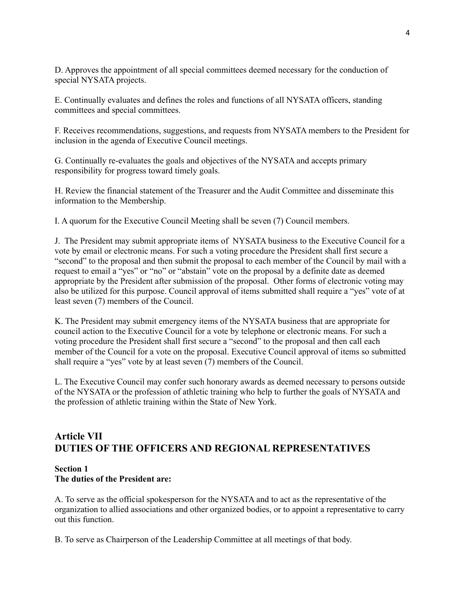D. Approves the appointment of all special committees deemed necessary for the conduction of special NYSATA projects.

E. Continually evaluates and defines the roles and functions of all NYSATA officers, standing committees and special committees.

F. Receives recommendations, suggestions, and requests from NYSATA members to the President for inclusion in the agenda of Executive Council meetings.

G. Continually re-evaluates the goals and objectives of the NYSATA and accepts primary responsibility for progress toward timely goals.

H. Review the financial statement of the Treasurer and the Audit Committee and disseminate this information to the Membership.

I. A quorum for the Executive Council Meeting shall be seven (7) Council members.

J. The President may submit appropriate items of NYSATA business to the Executive Council for a vote by email or electronic means. For such a voting procedure the President shall first secure a "second" to the proposal and then submit the proposal to each member of the Council by mail with a request to email a "yes" or "no" or "abstain" vote on the proposal by a definite date as deemed appropriate by the President after submission of the proposal. Other forms of electronic voting may also be utilized for this purpose. Council approval of items submitted shall require a "yes" vote of at least seven (7) members of the Council.

K. The President may submit emergency items of the NYSATA business that are appropriate for council action to the Executive Council for a vote by telephone or electronic means. For such a voting procedure the President shall first secure a "second" to the proposal and then call each member of the Council for a vote on the proposal. Executive Council approval of items so submitted shall require a "yes" vote by at least seven (7) members of the Council.

L. The Executive Council may confer such honorary awards as deemed necessary to persons outside of the NYSATA or the profession of athletic training who help to further the goals of NYSATA and the profession of athletic training within the State of New York.

# **Article VII DUTIES OF THE OFFICERS AND REGIONAL REPRESENTATIVES**

### **Section 1 The duties of the President are:**

A. To serve as the official spokesperson for the NYSATA and to act as the representative of the organization to allied associations and other organized bodies, or to appoint a representative to carry out this function.

B. To serve as Chairperson of the Leadership Committee at all meetings of that body.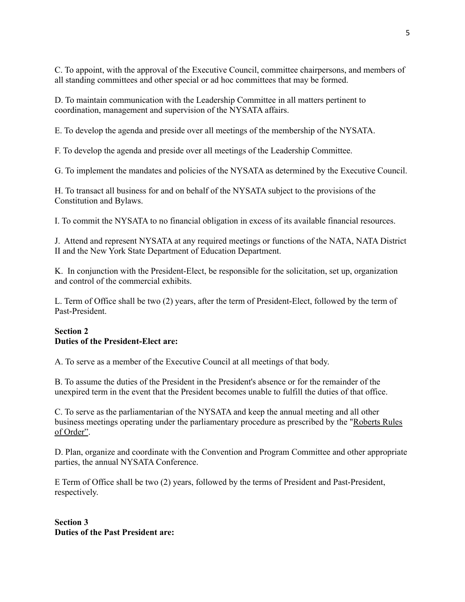C. To appoint, with the approval of the Executive Council, committee chairpersons, and members of all standing committees and other special or ad hoc committees that may be formed.

D. To maintain communication with the Leadership Committee in all matters pertinent to coordination, management and supervision of the NYSATA affairs.

E. To develop the agenda and preside over all meetings of the membership of the NYSATA.

F. To develop the agenda and preside over all meetings of the Leadership Committee.

G. To implement the mandates and policies of the NYSATA as determined by the Executive Council.

H. To transact all business for and on behalf of the NYSATA subject to the provisions of the Constitution and Bylaws.

I. To commit the NYSATA to no financial obligation in excess of its available financial resources.

J. Attend and represent NYSATA at any required meetings or functions of the NATA, NATA District II and the New York State Department of Education Department.

K. In conjunction with the President-Elect, be responsible for the solicitation, set up, organization and control of the commercial exhibits.

L. Term of Office shall be two (2) years, after the term of President-Elect, followed by the term of Past-President.

# **Section 2 Duties of the President-Elect are:**

A. To serve as a member of the Executive Council at all meetings of that body.

B. To assume the duties of the President in the President's absence or for the remainder of the unexpired term in the event that the President becomes unable to fulfill the duties of that office.

C. To serve as the parliamentarian of the NYSATA and keep the annual meeting and all other business meetings operating under the parliamentary procedure as prescribed by the "Roberts Rules of Order".

D. Plan, organize and coordinate with the Convention and Program Committee and other appropriate parties, the annual NYSATA Conference.

E Term of Office shall be two (2) years, followed by the terms of President and Past-President, respectively.

**Section 3 Duties of the Past President are:**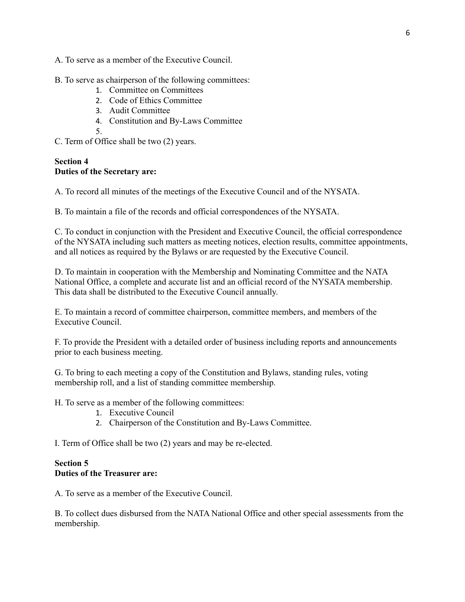A. To serve as a member of the Executive Council.

#### B. To serve as chairperson of the following committees:

- 1. Committee on Committees
- 2. Code of Ethics Committee
- 3. Audit Committee
- 4. Constitution and By-Laws Committee
- 5.
- C. Term of Office shall be two (2) years.

### **Section 4 Duties of the Secretary are:**

A. To record all minutes of the meetings of the Executive Council and of the NYSATA.

B. To maintain a file of the records and official correspondences of the NYSATA.

C. To conduct in conjunction with the President and Executive Council, the official correspondence of the NYSATA including such matters as meeting notices, election results, committee appointments, and all notices as required by the Bylaws or are requested by the Executive Council.

D. To maintain in cooperation with the Membership and Nominating Committee and the NATA National Office, a complete and accurate list and an official record of the NYSATA membership. This data shall be distributed to the Executive Council annually.

E. To maintain a record of committee chairperson, committee members, and members of the Executive Council.

F. To provide the President with a detailed order of business including reports and announcements prior to each business meeting.

G. To bring to each meeting a copy of the Constitution and Bylaws, standing rules, voting membership roll, and a list of standing committee membership.

H. To serve as a member of the following committees:

- 1. Executive Council
- 2. Chairperson of the Constitution and By-Laws Committee.

I. Term of Office shall be two (2) years and may be re-elected.

#### **Section 5 Duties of the Treasurer are:**

A. To serve as a member of the Executive Council.

B. To collect dues disbursed from the NATA National Office and other special assessments from the membership.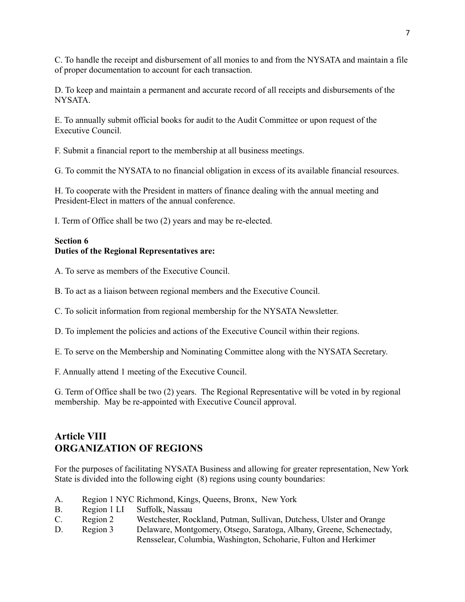C. To handle the receipt and disbursement of all monies to and from the NYSATA and maintain a file of proper documentation to account for each transaction.

D. To keep and maintain a permanent and accurate record of all receipts and disbursements of the NYSATA.

E. To annually submit official books for audit to the Audit Committee or upon request of the Executive Council.

F. Submit a financial report to the membership at all business meetings.

G. To commit the NYSATA to no financial obligation in excess of its available financial resources.

H. To cooperate with the President in matters of finance dealing with the annual meeting and President-Elect in matters of the annual conference.

I. Term of Office shall be two (2) years and may be re-elected.

## **Section 6 Duties of the Regional Representatives are:**

A. To serve as members of the Executive Council.

B. To act as a liaison between regional members and the Executive Council.

C. To solicit information from regional membership for the NYSATA Newsletter.

D. To implement the policies and actions of the Executive Council within their regions.

E. To serve on the Membership and Nominating Committee along with the NYSATA Secretary.

F. Annually attend 1 meeting of the Executive Council.

G. Term of Office shall be two (2) years. The Regional Representative will be voted in by regional membership. May be re-appointed with Executive Council approval.

# **Article VIII ORGANIZATION OF REGIONS**

For the purposes of facilitating NYSATA Business and allowing for greater representation, New York State is divided into the following eight (8) regions using county boundaries:

- A. Region 1 NYC Richmond, Kings, Queens, Bronx, New York
- B. Region 1 LI Suffolk, Nassau
- C. Region 2 Westchester, Rockland, Putman, Sullivan, Dutchess, Ulster and Orange
- D. Region 3 Delaware, Montgomery, Otsego, Saratoga, Albany, Greene, Schenectady, Rensselear, Columbia, Washington, Schoharie, Fulton and Herkimer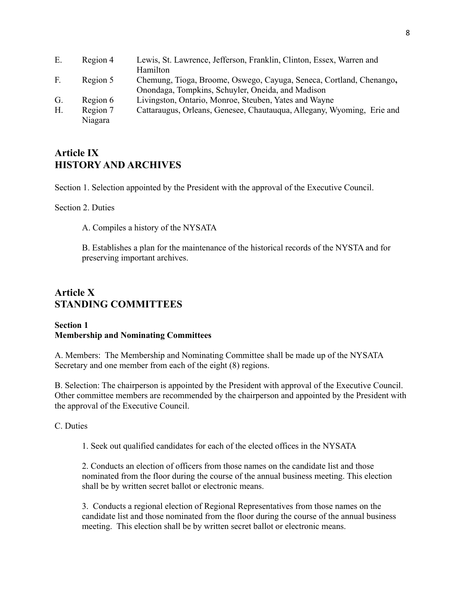| E.          | Region 4 | Lewis, St. Lawrence, Jefferson, Franklin, Clinton, Essex, Warren and   |
|-------------|----------|------------------------------------------------------------------------|
|             |          | Hamilton                                                               |
| $F_{\cdot}$ | Region 5 | Chemung, Tioga, Broome, Oswego, Cayuga, Seneca, Cortland, Chenango,    |
|             |          | Onondaga, Tompkins, Schuyler, Oneida, and Madison                      |
| G.          | Region 6 | Livingston, Ontario, Monroe, Steuben, Yates and Wayne                  |
| H.          | Region 7 | Cattaraugus, Orleans, Genesee, Chautauqua, Allegany, Wyoming, Erie and |
|             | Niagara  |                                                                        |

# **Article IX HISTORY AND ARCHIVES**

Section 1. Selection appointed by the President with the approval of the Executive Council.

Section 2. Duties

A. Compiles a history of the NYSATA

B. Establishes a plan for the maintenance of the historical records of the NYSTA and for preserving important archives.

# **Article X STANDING COMMITTEES**

#### **Section 1 Membership and Nominating Committees**

A. Members: The Membership and Nominating Committee shall be made up of the NYSATA Secretary and one member from each of the eight (8) regions.

B. Selection: The chairperson is appointed by the President with approval of the Executive Council. Other committee members are recommended by the chairperson and appointed by the President with the approval of the Executive Council.

#### C. Duties

1. Seek out qualified candidates for each of the elected offices in the NYSATA

2. Conducts an election of officers from those names on the candidate list and those nominated from the floor during the course of the annual business meeting. This election shall be by written secret ballot or electronic means.

3. Conducts a regional election of Regional Representatives from those names on the candidate list and those nominated from the floor during the course of the annual business meeting. This election shall be by written secret ballot or electronic means.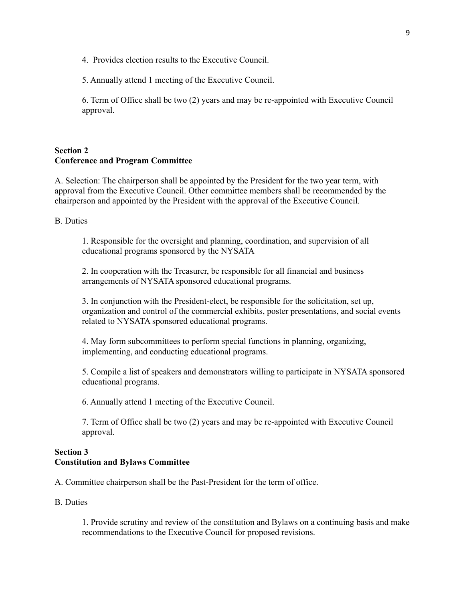4. Provides election results to the Executive Council.

5. Annually attend 1 meeting of the Executive Council.

6. Term of Office shall be two (2) years and may be re-appointed with Executive Council approval.

## **Section 2 Conference and Program Committee**

A. Selection: The chairperson shall be appointed by the President for the two year term, with approval from the Executive Council. Other committee members shall be recommended by the chairperson and appointed by the President with the approval of the Executive Council.

B. Duties

1. Responsible for the oversight and planning, coordination, and supervision of all educational programs sponsored by the NYSATA

2. In cooperation with the Treasurer, be responsible for all financial and business arrangements of NYSATA sponsored educational programs.

3. In conjunction with the President-elect, be responsible for the solicitation, set up, organization and control of the commercial exhibits, poster presentations, and social events related to NYSATA sponsored educational programs.

4. May form subcommittees to perform special functions in planning, organizing, implementing, and conducting educational programs.

5. Compile a list of speakers and demonstrators willing to participate in NYSATA sponsored educational programs.

6. Annually attend 1 meeting of the Executive Council.

7. Term of Office shall be two (2) years and may be re-appointed with Executive Council approval.

## **Section 3 Constitution and Bylaws Committee**

A. Committee chairperson shall be the Past-President for the term of office.

B. Duties

1. Provide scrutiny and review of the constitution and Bylaws on a continuing basis and make recommendations to the Executive Council for proposed revisions.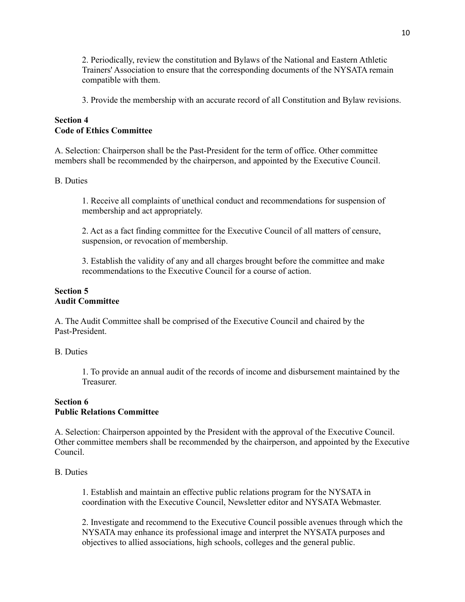2. Periodically, review the constitution and Bylaws of the National and Eastern Athletic Trainers' Association to ensure that the corresponding documents of the NYSATA remain compatible with them.

3. Provide the membership with an accurate record of all Constitution and Bylaw revisions.

## **Section 4 Code of Ethics Committee**

A. Selection: Chairperson shall be the Past-President for the term of office. Other committee members shall be recommended by the chairperson, and appointed by the Executive Council.

### B. Duties

1. Receive all complaints of unethical conduct and recommendations for suspension of membership and act appropriately.

2. Act as a fact finding committee for the Executive Council of all matters of censure, suspension, or revocation of membership.

3. Establish the validity of any and all charges brought before the committee and make recommendations to the Executive Council for a course of action.

### **Section 5 Audit Committee**

A. The Audit Committee shall be comprised of the Executive Council and chaired by the Past-President.

B. Duties

1. To provide an annual audit of the records of income and disbursement maintained by the Treasurer.

## **Section 6 Public Relations Committee**

A. Selection: Chairperson appointed by the President with the approval of the Executive Council. Other committee members shall be recommended by the chairperson, and appointed by the Executive Council.

## B. Duties

1. Establish and maintain an effective public relations program for the NYSATA in coordination with the Executive Council, Newsletter editor and NYSATA Webmaster.

2. Investigate and recommend to the Executive Council possible avenues through which the NYSATA may enhance its professional image and interpret the NYSATA purposes and objectives to allied associations, high schools, colleges and the general public.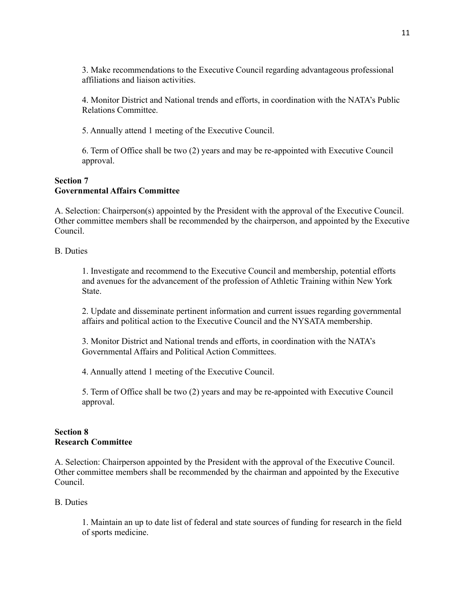3. Make recommendations to the Executive Council regarding advantageous professional affiliations and liaison activities.

4. Monitor District and National trends and efforts, in coordination with the NATA's Public Relations Committee.

5. Annually attend 1 meeting of the Executive Council.

6. Term of Office shall be two (2) years and may be re-appointed with Executive Council approval.

#### **Section 7 Governmental Affairs Committee**

A. Selection: Chairperson(s) appointed by the President with the approval of the Executive Council. Other committee members shall be recommended by the chairperson, and appointed by the Executive Council.

B. Duties

1. Investigate and recommend to the Executive Council and membership, potential efforts and avenues for the advancement of the profession of Athletic Training within New York State.

2. Update and disseminate pertinent information and current issues regarding governmental affairs and political action to the Executive Council and the NYSATA membership.

3. Monitor District and National trends and efforts, in coordination with the NATA's Governmental Affairs and Political Action Committees.

4. Annually attend 1 meeting of the Executive Council.

5. Term of Office shall be two (2) years and may be re-appointed with Executive Council approval.

### **Section 8 Research Committee**

A. Selection: Chairperson appointed by the President with the approval of the Executive Council. Other committee members shall be recommended by the chairman and appointed by the Executive Council.

## B. Duties

1. Maintain an up to date list of federal and state sources of funding for research in the field of sports medicine.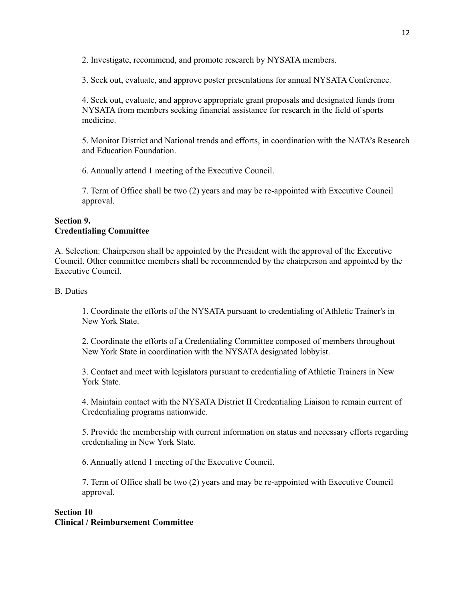2. Investigate, recommend, and promote research by NYSATA members.

3. Seek out, evaluate, and approve poster presentations for annual NYSATA Conference.

4. Seek out, evaluate, and approve appropriate grant proposals and designated funds from NYSATA from members seeking financial assistance for research in the field of sports medicine.

5. Monitor District and National trends and efforts, in coordination with the NATA's Research and Education Foundation.

6. Annually attend 1 meeting of the Executive Council.

7. Term of Office shall be two (2) years and may be re-appointed with Executive Council approval.

## **Section 9. Credentialing Committee**

A. Selection: Chairperson shall be appointed by the President with the approval of the Executive Council. Other committee members shall be recommended by the chairperson and appointed by the Executive Council.

## B. Duties

1. Coordinate the efforts of the NYSATA pursuant to credentialing of Athletic Trainer's in New York State.

2. Coordinate the efforts of a Credentialing Committee composed of members throughout New York State in coordination with the NYSATA designated lobbyist.

3. Contact and meet with legislators pursuant to credentialing of Athletic Trainers in New York State.

4. Maintain contact with the NYSATA District II Credentialing Liaison to remain current of Credentialing programs nationwide.

5. Provide the membership with current information on status and necessary efforts regarding credentialing in New York State.

6. Annually attend 1 meeting of the Executive Council.

7. Term of Office shall be two (2) years and may be re-appointed with Executive Council approval.

## **Section 10 Clinical / Reimbursement Committee**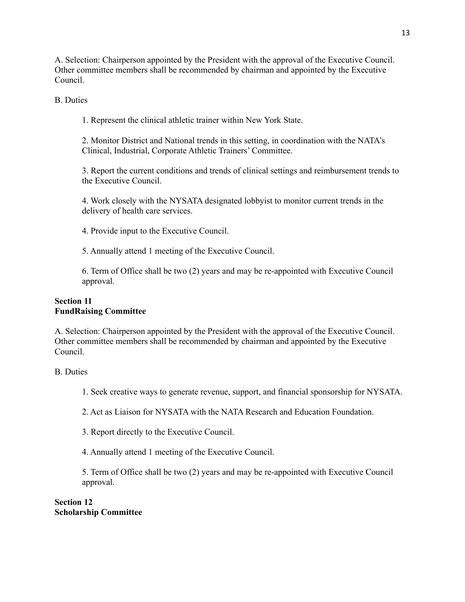A. Selection: Chairperson appointed by the President with the approval of the Executive Council. Other committee members shall be recommended by chairman and appointed by the Executive Council.

B. Duties

1. Represent the clinical athletic trainer within New York State.

2. Monitor District and National trends in this setting, in coordination with the NATA's Clinical, Industrial, Corporate Athletic Trainers' Committee.

3. Report the current conditions and trends of clinical settings and reimbursement trends to the Executive Council.

4. Work closely with the NYSATA designated lobbyist to monitor current trends in the delivery of health care services.

4. Provide input to the Executive Council.

5. Annually attend 1 meeting of the Executive Council.

6. Term of Office shall be two (2) years and may be re-appointed with Executive Council approval.

## **Section 11 FundRaising Committee**

A. Selection: Chairperson appointed by the President with the approval of the Executive Council. Other committee members shall be recommended by chairman and appointed by the Executive Council.

B. Duties

- 1. Seek creative ways to generate revenue, support, and financial sponsorship for NYSATA.
- 2. Act as Liaison for NYSATA with the NATA Research and Education Foundation.
- 3. Report directly to the Executive Council.

4. Annually attend 1 meeting of the Executive Council.

5. Term of Office shall be two (2) years and may be re-appointed with Executive Council approval.

**Section 12 Scholarship Committee**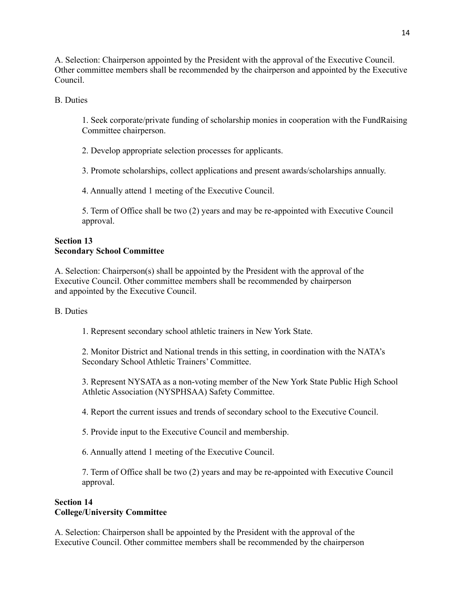A. Selection: Chairperson appointed by the President with the approval of the Executive Council. Other committee members shall be recommended by the chairperson and appointed by the Executive Council.

B. Duties

1. Seek corporate/private funding of scholarship monies in cooperation with the FundRaising Committee chairperson.

2. Develop appropriate selection processes for applicants.

3. Promote scholarships, collect applications and present awards/scholarships annually.

4. Annually attend 1 meeting of the Executive Council.

5. Term of Office shall be two (2) years and may be re-appointed with Executive Council approval.

## **Section 13 Secondary School Committee**

A. Selection: Chairperson(s) shall be appointed by the President with the approval of the Executive Council. Other committee members shall be recommended by chairperson and appointed by the Executive Council.

B. Duties

1. Represent secondary school athletic trainers in New York State.

2. Monitor District and National trends in this setting, in coordination with the NATA's Secondary School Athletic Trainers' Committee.

3. Represent NYSATA as a non-voting member of the New York State Public High School Athletic Association (NYSPHSAA) Safety Committee.

4. Report the current issues and trends of secondary school to the Executive Council.

5. Provide input to the Executive Council and membership.

6. Annually attend 1 meeting of the Executive Council.

7. Term of Office shall be two (2) years and may be re-appointed with Executive Council approval.

## **Section 14 College/University Committee**

A. Selection: Chairperson shall be appointed by the President with the approval of the Executive Council. Other committee members shall be recommended by the chairperson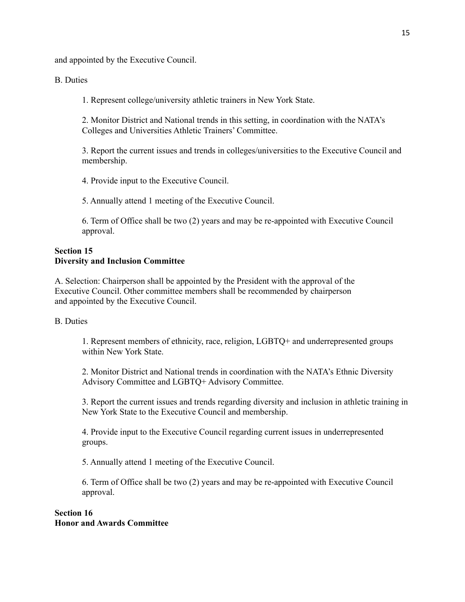and appointed by the Executive Council.

## B. Duties

1. Represent college/university athletic trainers in New York State.

2. Monitor District and National trends in this setting, in coordination with the NATA's Colleges and Universities Athletic Trainers' Committee.

3. Report the current issues and trends in colleges/universities to the Executive Council and membership.

4. Provide input to the Executive Council.

5. Annually attend 1 meeting of the Executive Council.

6. Term of Office shall be two (2) years and may be re-appointed with Executive Council approval.

## **Section 15 Diversity and Inclusion Committee**

A. Selection: Chairperson shall be appointed by the President with the approval of the Executive Council. Other committee members shall be recommended by chairperson and appointed by the Executive Council.

#### B. Duties

1. Represent members of ethnicity, race, religion, LGBTQ+ and underrepresented groups within New York State.

2. Monitor District and National trends in coordination with the NATA's Ethnic Diversity Advisory Committee and LGBTQ+ Advisory Committee.

3. Report the current issues and trends regarding diversity and inclusion in athletic training in New York State to the Executive Council and membership.

4. Provide input to the Executive Council regarding current issues in underrepresented groups.

5. Annually attend 1 meeting of the Executive Council.

6. Term of Office shall be two (2) years and may be re-appointed with Executive Council approval.

### **Section 16 Honor and Awards Committee**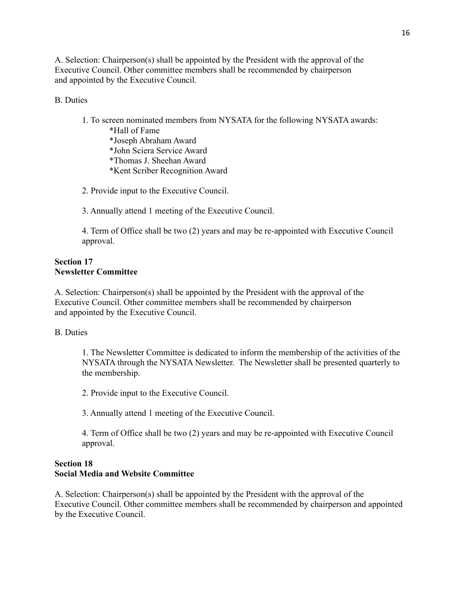A. Selection: Chairperson(s) shall be appointed by the President with the approval of the Executive Council. Other committee members shall be recommended by chairperson and appointed by the Executive Council.

## B. Duties

1. To screen nominated members from NYSATA for the following NYSATA awards: \*Hall of Fame \*Joseph Abraham Award \*John Sciera Service Award \*Thomas J. Sheehan Award \*Kent Scriber Recognition Award

2. Provide input to the Executive Council.

3. Annually attend 1 meeting of the Executive Council.

4. Term of Office shall be two (2) years and may be re-appointed with Executive Council approval.

#### **Section 17 Newsletter Committee**

A. Selection: Chairperson(s) shall be appointed by the President with the approval of the Executive Council. Other committee members shall be recommended by chairperson and appointed by the Executive Council.

#### B. Duties

1. The Newsletter Committee is dedicated to inform the membership of the activities of the NYSATA through the NYSATA Newsletter. The Newsletter shall be presented quarterly to the membership.

2. Provide input to the Executive Council.

3. Annually attend 1 meeting of the Executive Council.

4. Term of Office shall be two (2) years and may be re-appointed with Executive Council approval.

### **Section 18 Social Media and Website Committee**

A. Selection: Chairperson(s) shall be appointed by the President with the approval of the Executive Council. Other committee members shall be recommended by chairperson and appointed by the Executive Council.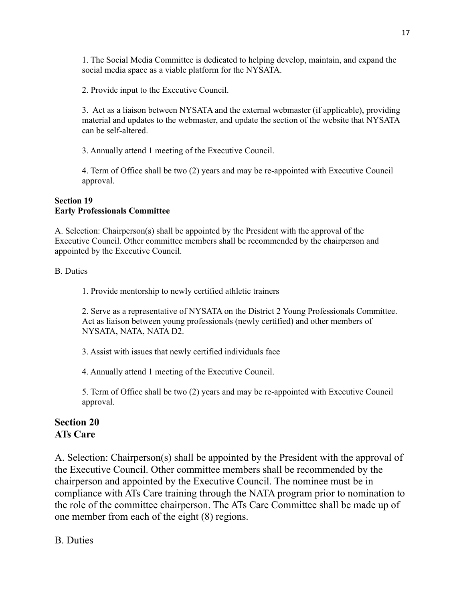1. The Social Media Committee is dedicated to helping develop, maintain, and expand the social media space as a viable platform for the NYSATA.

2. Provide input to the Executive Council.

3. Act as a liaison between NYSATA and the external webmaster (if applicable), providing material and updates to the webmaster, and update the section of the website that NYSATA can be self-altered.

3. Annually attend 1 meeting of the Executive Council.

4. Term of Office shall be two (2) years and may be re-appointed with Executive Council approval.

## **Section 19 Early Professionals Committee**

A. Selection: Chairperson(s) shall be appointed by the President with the approval of the Executive Council. Other committee members shall be recommended by the chairperson and appointed by the Executive Council.

## B. Duties

1. Provide mentorship to newly certified athletic trainers

2. Serve as a representative of NYSATA on the District 2 Young Professionals Committee. Act as liaison between young professionals (newly certified) and other members of NYSATA, NATA, NATA D2.

3. Assist with issues that newly certified individuals face

4. Annually attend 1 meeting of the Executive Council.

5. Term of Office shall be two (2) years and may be re-appointed with Executive Council approval.

# **Section 20 ATs Care**

A. Selection: Chairperson(s) shall be appointed by the President with the approval of the Executive Council. Other committee members shall be recommended by the chairperson and appointed by the Executive Council. The nominee must be in compliance with ATs Care training through the NATA program prior to nomination to the role of the committee chairperson. The ATs Care Committee shall be made up of one member from each of the eight (8) regions.

# B. Duties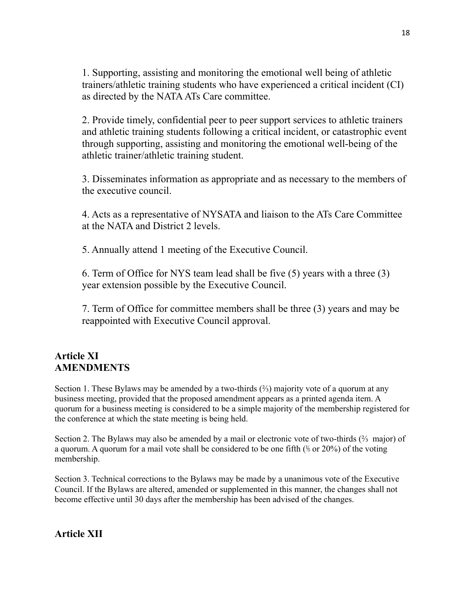1. Supporting, assisting and monitoring the emotional well being of athletic trainers/athletic training students who have experienced a critical incident (CI) as directed by the NATAATs Care committee.

2. Provide timely, confidential peer to peer support services to athletic trainers and athletic training students following a critical incident, or catastrophic event through supporting, assisting and monitoring the emotional well-being of the athletic trainer/athletic training student.

3. Disseminates information as appropriate and as necessary to the members of the executive council.

4. Acts as a representative of NYSATA and liaison to the ATs Care Committee at the NATA and District 2 levels.

5. Annually attend 1 meeting of the Executive Council.

6. Term of Office for NYS team lead shall be five (5) years with a three (3) year extension possible by the Executive Council.

7. Term of Office for committee members shall be three (3) years and may be reappointed with Executive Council approval.

# **Article XI AMENDMENTS**

Section 1. These Bylaws may be amended by a two-thirds  $(\frac{2}{3})$  majority vote of a quorum at any business meeting, provided that the proposed amendment appears as a printed agenda item. A quorum for a business meeting is considered to be a simple majority of the membership registered for the conference at which the state meeting is being held.

Section 2. The Bylaws may also be amended by a mail or electronic vote of two-thirds (⅔ major) of a quorum. A quorum for a mail vote shall be considered to be one fifth  $(\frac{1}{6}$  or 20%) of the voting membership.

Section 3. Technical corrections to the Bylaws may be made by a unanimous vote of the Executive Council. If the Bylaws are altered, amended or supplemented in this manner, the changes shall not become effective until 30 days after the membership has been advised of the changes.

**Article XII**